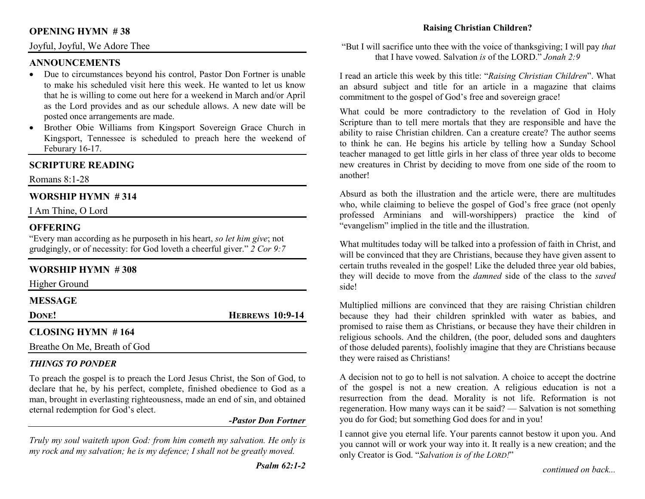## **OPENING HYMN # 38**

#### Joyful, Joyful, We Adore Thee

#### **ANNOUNCEMENTS**

- Due to circumstances beyond his control, Pastor Don Fortner is unable to make his scheduled visit here this week. He wanted to let us know that he is willing to come out here for a weekend in March and/or April as the Lord provides and as our schedule allows. A new date will be posted once arrangements are made.
- Brother Obie Williams from Kingsport Sovereign Grace Church in •Kingsport, Tennessee is scheduled to preach here the weekend of Feburary 16-17.

### **SCRIPTURE READING**

Romans 8:1-28

### **WORSHIP HYMN # 314**

I Am Thine, O Lord

#### **OFFERING**

 "Every man according as he purposeth in his heart, *so let him give*; not grudgingly, or of necessity: for God loveth a cheerful giver." *2 Cor 9:7*

#### **WORSHIP HYMN # 308**

Higher Ground

#### **MESSAGE**

**DONE!** 

**HEBREWS 10:9-14** 

## **CLOSING HYMN # 164**

Breathe On Me, Breath of God

#### *THINGS TO PONDER*

 To preach the gospel is to preach the Lord Jesus Christ, the Son of God, to declare that he, by his perfect, complete, finished obedience to God as a man, brought in everlasting righteousness, made an end of sin, and obtained eternal redemption for God's elect.

#### *-Pastor Don Fortner*

*Truly my soul waiteth upon God: from him cometh my salvation. He only is my rock and my salvation; he is my defence; I shall not be greatly moved.* 

### **Raising Christian Children?**

"But I will sacrifice unto thee with the voice of thanksgiving; I will pay *that*that I have vowed. Salvation *is* of the LORD." *Jonah 2:9*

I read an article this week by this title: "*Raising Christian Children*". What an absurd subject and title for an article in a magazine that claims commitment to the gospel of God's free and sovereign grace!

What could be more contradictory to the revelation of God in Holy Scripture than to tell mere mortals that they are responsible and have the ability to raise Christian children. Can a creature create? The author seems to think he can. He begins his article by telling how a Sunday School teacher managed to get little girls in her class of three year olds to become new creatures in Christ by deciding to move from one side of the room to another!

Absurd as both the illustration and the article were, there are multitudes who, while claiming to believe the gospel of God's free grace (not openly professed Arminians and will-worshippers) practice the kind of "evangelism" implied in the title and the illustration.

What multitudes today will be talked into a profession of faith in Christ, and will be convinced that they are Christians, because they have given assent to certain truths revealed in the gospel! Like the deluded three year old babies, they will decide to move from the *damned* side of the class to the *saved*side!

Multiplied millions are convinced that they are raising Christian children because they had their children sprinkled with water as babies, and promised to raise them as Christians, or because they have their children in religious schools. And the children, (the poor, deluded sons and daughters of those deluded parents), foolishly imagine that they are Christians because they were raised as Christians!

A decision not to go to hell is not salvation. A choice to accept the doctrine of the gospel is not a new creation. A religious education is not a resurrection from the dead. Morality is not life. Reformation is not regeneration. How many ways can it be said? — Salvation is not something you do for God; but something God does for and in you!

I cannot give you eternal life. Your parents cannot bestow it upon you. And you cannot will or work your way into it. It really is a new creation; and the only Creator is God. "*Salvation is of the LORD!*"